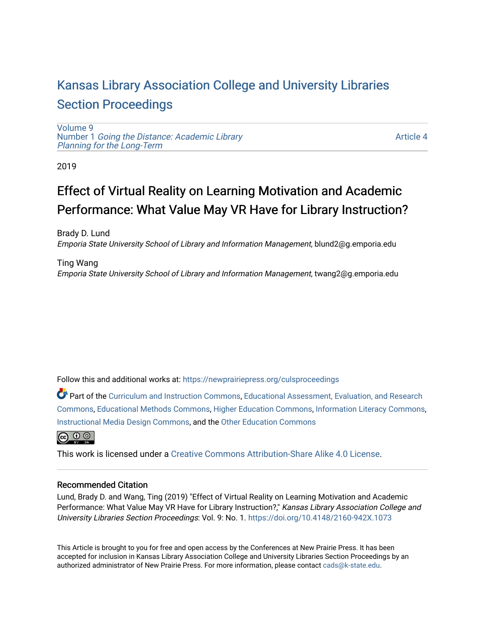# [Kansas Library Association College and University Libraries](https://newprairiepress.org/culsproceedings)  [Section Proceedings](https://newprairiepress.org/culsproceedings)

[Volume 9](https://newprairiepress.org/culsproceedings/vol9) Number 1 [Going the Distance: Academic Library](https://newprairiepress.org/culsproceedings/vol9/iss1)  [Planning for the Long-Term](https://newprairiepress.org/culsproceedings/vol9/iss1) 

[Article 4](https://newprairiepress.org/culsproceedings/vol9/iss1/4) 

2019

# Effect of Virtual Reality on Learning Motivation and Academic Performance: What Value May VR Have for Library Instruction?

Brady D. Lund Emporia State University School of Library and Information Management, blund2@g.emporia.edu

Ting Wang Emporia State University School of Library and Information Management, twang2@g.emporia.edu

Follow this and additional works at: [https://newprairiepress.org/culsproceedings](https://newprairiepress.org/culsproceedings?utm_source=newprairiepress.org%2Fculsproceedings%2Fvol9%2Fiss1%2F4&utm_medium=PDF&utm_campaign=PDFCoverPages)

Part of the [Curriculum and Instruction Commons,](http://network.bepress.com/hgg/discipline/786?utm_source=newprairiepress.org%2Fculsproceedings%2Fvol9%2Fiss1%2F4&utm_medium=PDF&utm_campaign=PDFCoverPages) [Educational Assessment, Evaluation, and Research](http://network.bepress.com/hgg/discipline/796?utm_source=newprairiepress.org%2Fculsproceedings%2Fvol9%2Fiss1%2F4&utm_medium=PDF&utm_campaign=PDFCoverPages)  [Commons](http://network.bepress.com/hgg/discipline/796?utm_source=newprairiepress.org%2Fculsproceedings%2Fvol9%2Fiss1%2F4&utm_medium=PDF&utm_campaign=PDFCoverPages), [Educational Methods Commons](http://network.bepress.com/hgg/discipline/1227?utm_source=newprairiepress.org%2Fculsproceedings%2Fvol9%2Fiss1%2F4&utm_medium=PDF&utm_campaign=PDFCoverPages), [Higher Education Commons](http://network.bepress.com/hgg/discipline/1245?utm_source=newprairiepress.org%2Fculsproceedings%2Fvol9%2Fiss1%2F4&utm_medium=PDF&utm_campaign=PDFCoverPages), [Information Literacy Commons,](http://network.bepress.com/hgg/discipline/1243?utm_source=newprairiepress.org%2Fculsproceedings%2Fvol9%2Fiss1%2F4&utm_medium=PDF&utm_campaign=PDFCoverPages) [Instructional Media Design Commons](http://network.bepress.com/hgg/discipline/795?utm_source=newprairiepress.org%2Fculsproceedings%2Fvol9%2Fiss1%2F4&utm_medium=PDF&utm_campaign=PDFCoverPages), and the [Other Education Commons](http://network.bepress.com/hgg/discipline/811?utm_source=newprairiepress.org%2Fculsproceedings%2Fvol9%2Fiss1%2F4&utm_medium=PDF&utm_campaign=PDFCoverPages) 



This work is licensed under a [Creative Commons Attribution-Share Alike 4.0 License.](https://creativecommons.org/licenses/by-sa/4.0/)

## Recommended Citation

Lund, Brady D. and Wang, Ting (2019) "Effect of Virtual Reality on Learning Motivation and Academic Performance: What Value May VR Have for Library Instruction?," Kansas Library Association College and University Libraries Section Proceedings: Vol. 9: No. 1. <https://doi.org/10.4148/2160-942X.1073>

This Article is brought to you for free and open access by the Conferences at New Prairie Press. It has been accepted for inclusion in Kansas Library Association College and University Libraries Section Proceedings by an authorized administrator of New Prairie Press. For more information, please contact [cads@k-state.edu.](mailto:cads@k-state.edu)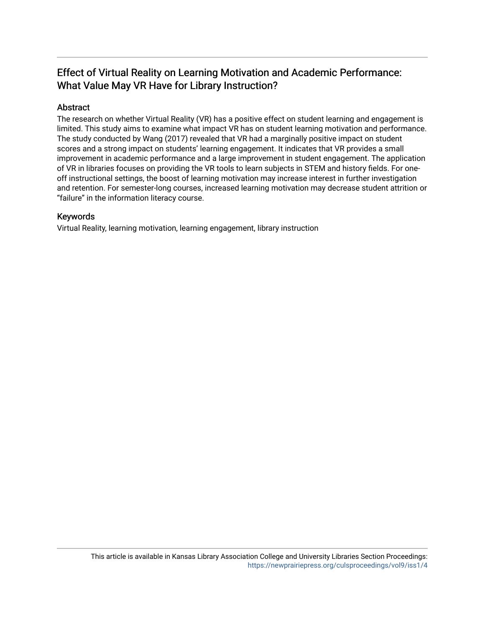# Effect of Virtual Reality on Learning Motivation and Academic Performance: What Value May VR Have for Library Instruction?

## Abstract

The research on whether Virtual Reality (VR) has a positive effect on student learning and engagement is limited. This study aims to examine what impact VR has on student learning motivation and performance. The study conducted by Wang (2017) revealed that VR had a marginally positive impact on student scores and a strong impact on students' learning engagement. It indicates that VR provides a small improvement in academic performance and a large improvement in student engagement. The application of VR in libraries focuses on providing the VR tools to learn subjects in STEM and history fields. For oneoff instructional settings, the boost of learning motivation may increase interest in further investigation and retention. For semester-long courses, increased learning motivation may decrease student attrition or "failure" in the information literacy course.

## Keywords

Virtual Reality, learning motivation, learning engagement, library instruction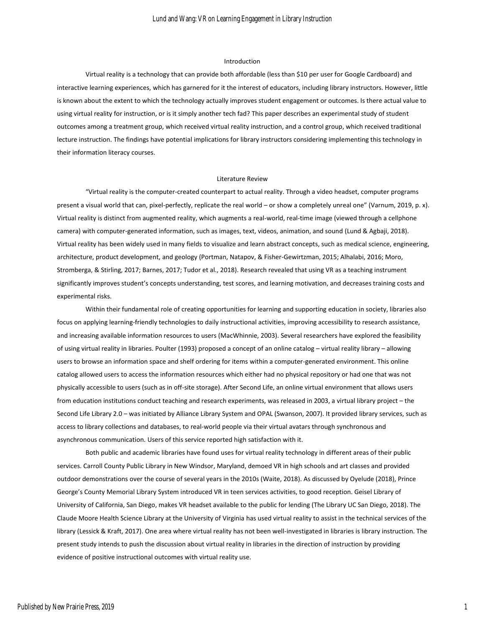#### Introduction

Virtual reality is a technology that can provide both affordable (less than \$10 per user for Google Cardboard) and interactive learning experiences, which has garnered for it the interest of educators, including library instructors. However, little is known about the extent to which the technology actually improves student engagement or outcomes. Is there actual value to using virtual reality for instruction, or is it simply another tech fad? This paper describes an experimental study of student outcomes among a treatment group, which received virtual reality instruction, and a control group, which received traditional lecture instruction. The findings have potential implications for library instructors considering implementing this technology in their information literacy courses.

#### Literature Review

"Virtual reality is the computer-created counterpart to actual reality. Through a video headset, computer programs present a visual world that can, pixel-perfectly, replicate the real world – or show a completely unreal one" (Varnum, 2019, p. x). Virtual reality is distinct from augmented reality, which augments a real-world, real-time image (viewed through a cellphone camera) with computer-generated information, such as images, text, videos, animation, and sound (Lund & Agbaji, 2018). Virtual reality has been widely used in many fields to visualize and learn abstract concepts, such as medical science, engineering, architecture, product development, and geology (Portman, Natapov, & Fisher-Gewirtzman, 2015; Alhalabi, 2016; Moro, Stromberga, & Stirling, 2017; Barnes, 2017; Tudor et al., 2018). Research revealed that using VR as a teaching instrument significantly improves student's concepts understanding, test scores, and learning motivation, and decreases training costs and experimental risks.

Within their fundamental role of creating opportunities for learning and supporting education in society, libraries also focus on applying learning-friendly technologies to daily instructional activities, improving accessibility to research assistance, and increasing available information resources to users (MacWhinnie, 2003). Several researchers have explored the feasibility of using virtual reality in libraries. Poulter (1993) proposed a concept of an online catalog – virtual reality library – allowing users to browse an information space and shelf ordering for items within a computer-generated environment. This online catalog allowed users to access the information resources which either had no physical repository or had one that was not physically accessible to users (such as in off-site storage). After Second Life, an online virtual environment that allows users from education institutions conduct teaching and research experiments, was released in 2003, a virtual library project – the Second Life Library 2.0 – was initiated by Alliance Library System and OPAL (Swanson, 2007). It provided library services, such as access to library collections and databases, to real-world people via their virtual avatars through synchronous and asynchronous communication. Users of this service reported high satisfaction with it.

Both public and academic libraries have found uses for virtual reality technology in different areas of their public services. Carroll County Public Library in New Windsor, Maryland, demoed VR in high schools and art classes and provided outdoor demonstrations over the course of several years in the 2010s (Waite, 2018). As discussed by Oyelude (2018), Prince George's County Memorial Library System introduced VR in teen services activities, to good reception. Geisel Library of University of California, San Diego, makes VR headset available to the public for lending (The Library UC San Diego, 2018). The Claude Moore Health Science Library at the University of Virginia has used virtual reality to assist in the technical services of the library (Lessick & Kraft, 2017). One area where virtual reality has not been well-investigated in libraries is library instruction. The present study intends to push the discussion about virtual reality in libraries in the direction of instruction by providing evidence of positive instructional outcomes with virtual reality use.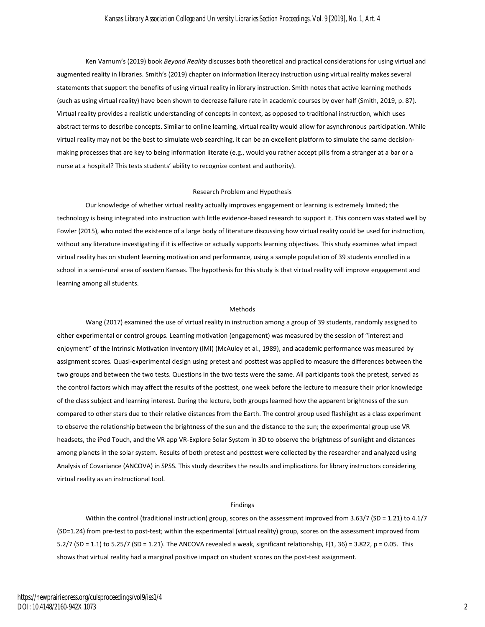Ken Varnum's (2019) book *Beyond Reality* discusses both theoretical and practical considerations for using virtual and augmented reality in libraries. Smith's (2019) chapter on information literacy instruction using virtual reality makes several statements that support the benefits of using virtual reality in library instruction. Smith notes that active learning methods (such as using virtual reality) have been shown to decrease failure rate in academic courses by over half (Smith, 2019, p. 87). Virtual reality provides a realistic understanding of concepts in context, as opposed to traditional instruction, which uses abstract terms to describe concepts. Similar to online learning, virtual reality would allow for asynchronous participation. While virtual reality may not be the best to simulate web searching, it can be an excellent platform to simulate the same decisionmaking processes that are key to being information literate (e.g., would you rather accept pills from a stranger at a bar or a nurse at a hospital? This tests students' ability to recognize context and authority).

#### Research Problem and Hypothesis

Our knowledge of whether virtual reality actually improves engagement or learning is extremely limited; the technology is being integrated into instruction with little evidence-based research to support it. This concern was stated well by Fowler (2015), who noted the existence of a large body of literature discussing how virtual reality could be used for instruction, without any literature investigating if it is effective or actually supports learning objectives. This study examines what impact virtual reality has on student learning motivation and performance, using a sample population of 39 students enrolled in a school in a semi-rural area of eastern Kansas. The hypothesis for this study is that virtual reality will improve engagement and learning among all students.

#### Methods

Wang (2017) examined the use of virtual reality in instruction among a group of 39 students, randomly assigned to either experimental or control groups. Learning motivation (engagement) was measured by the session of "interest and enjoyment" of the Intrinsic Motivation Inventory (IMI) (McAuley et al., 1989), and academic performance was measured by assignment scores. Quasi-experimental design using pretest and posttest was applied to measure the differences between the two groups and between the two tests. Questions in the two tests were the same. All participants took the pretest, served as the control factors which may affect the results of the posttest, one week before the lecture to measure their prior knowledge of the class subject and learning interest. During the lecture, both groups learned how the apparent brightness of the sun compared to other stars due to their relative distances from the Earth. The control group used flashlight as a class experiment to observe the relationship between the brightness of the sun and the distance to the sun; the experimental group use VR headsets, the iPod Touch, and the VR app VR-Explore Solar System in 3D to observe the brightness of sunlight and distances among planets in the solar system. Results of both pretest and posttest were collected by the researcher and analyzed using Analysis of Covariance (ANCOVA) in SPSS. This study describes the results and implications for library instructors considering virtual reality as an instructional tool.

#### Findings

Within the control (traditional instruction) group, scores on the assessment improved from 3.63/7 (SD = 1.21) to 4.1/7 (SD=1.24) from pre-test to post-test; within the experimental (virtual reality) group, scores on the assessment improved from 5.2/7 (SD = 1.1) to 5.25/7 (SD = 1.21). The ANCOVA revealed a weak, significant relationship, F(1, 36) = 3.822, p = 0.05. This shows that virtual reality had a marginal positive impact on student scores on the post-test assignment.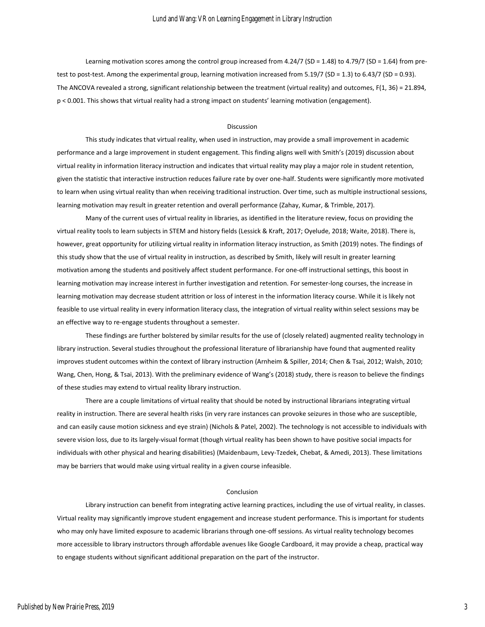Learning motivation scores among the control group increased from 4.24/7 (SD = 1.48) to 4.79/7 (SD = 1.64) from pretest to post-test. Among the experimental group, learning motivation increased from 5.19/7 (SD = 1.3) to 6.43/7 (SD = 0.93). The ANCOVA revealed a strong, significant relationship between the treatment (virtual reality) and outcomes, F(1, 36) = 21.894, p < 0.001. This shows that virtual reality had a strong impact on students' learning motivation (engagement).

#### Discussion

This study indicates that virtual reality, when used in instruction, may provide a small improvement in academic performance and a large improvement in student engagement. This finding aligns well with Smith's (2019) discussion about virtual reality in information literacy instruction and indicates that virtual reality may play a major role in student retention, given the statistic that interactive instruction reduces failure rate by over one-half. Students were significantly more motivated to learn when using virtual reality than when receiving traditional instruction. Over time, such as multiple instructional sessions, learning motivation may result in greater retention and overall performance (Zahay, Kumar, & Trimble, 2017).

Many of the current uses of virtual reality in libraries, as identified in the literature review, focus on providing the virtual reality tools to learn subjects in STEM and history fields (Lessick & Kraft, 2017; Oyelude, 2018; Waite, 2018). There is, however, great opportunity for utilizing virtual reality in information literacy instruction, as Smith (2019) notes. The findings of this study show that the use of virtual reality in instruction, as described by Smith, likely will result in greater learning motivation among the students and positively affect student performance. For one-off instructional settings, this boost in learning motivation may increase interest in further investigation and retention. For semester-long courses, the increase in learning motivation may decrease student attrition or loss of interest in the information literacy course. While it is likely not feasible to use virtual reality in every information literacy class, the integration of virtual reality within select sessions may be an effective way to re-engage students throughout a semester.

These findings are further bolstered by similar results for the use of (closely related) augmented reality technology in library instruction. Several studies throughout the professional literature of librarianship have found that augmented reality improves student outcomes within the context of library instruction (Arnheim & Spiller, 2014; Chen & Tsai, 2012; Walsh, 2010; Wang, Chen, Hong, & Tsai, 2013). With the preliminary evidence of Wang's (2018) study, there is reason to believe the findings of these studies may extend to virtual reality library instruction.

There are a couple limitations of virtual reality that should be noted by instructional librarians integrating virtual reality in instruction. There are several health risks (in very rare instances can provoke seizures in those who are susceptible, and can easily cause motion sickness and eye strain) (Nichols & Patel, 2002). The technology is not accessible to individuals with severe vision loss, due to its largely-visual format (though virtual reality has been shown to have positive social impacts for individuals with other physical and hearing disabilities) (Maidenbaum, Levy-Tzedek, Chebat, & Amedi, 2013). These limitations may be barriers that would make using virtual reality in a given course infeasible.

#### Conclusion

Library instruction can benefit from integrating active learning practices, including the use of virtual reality, in classes. Virtual reality may significantly improve student engagement and increase student performance. This is important for students who may only have limited exposure to academic librarians through one-off sessions. As virtual reality technology becomes more accessible to library instructors through affordable avenues like Google Cardboard, it may provide a cheap, practical way to engage students without significant additional preparation on the part of the instructor.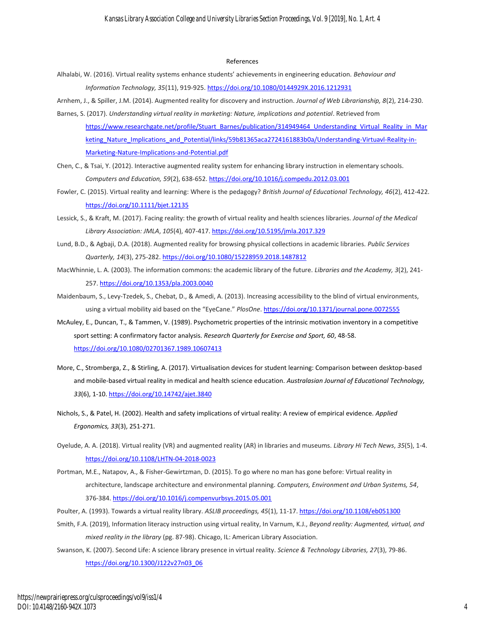#### References

- Alhalabi, W. (2016). Virtual reality systems enhance students' achievements in engineering education. *Behaviour and Information Technology, 35*(11), 919-925.<https://doi.org/10.1080/0144929X.2016.1212931>
- Arnhem, J., & Spiller, J.M. (2014). Augmented reality for discovery and instruction. *Journal of Web Librarianship, 8*(2), 214-230.
- Barnes, S. (2017). *Understanding virtual reality in marketing: Nature, implications and potential*. Retrieved from [https://www.researchgate.net/profile/Stuart\\_Barnes/publication/314949464\\_Understanding\\_Virtual\\_Reality\\_in\\_Mar](https://www.researchgate.net/profile/Stuart_Barnes/publication/314949464_Understanding_Virtual_Reality_in_Marketing_Nature_Implications_and_Potential/links/59b81365aca2724161883b0a/Understanding-Virtuavl-Reality-in-Marketing-Nature-Implications-and-Potential.pdf) [keting\\_Nature\\_Implications\\_and\\_Potential/links/59b81365aca2724161883b0a/Understanding-Virtuavl-Reality-in-](https://www.researchgate.net/profile/Stuart_Barnes/publication/314949464_Understanding_Virtual_Reality_in_Marketing_Nature_Implications_and_Potential/links/59b81365aca2724161883b0a/Understanding-Virtuavl-Reality-in-Marketing-Nature-Implications-and-Potential.pdf)[Marketing-Nature-Implications-and-Potential.pdf](https://www.researchgate.net/profile/Stuart_Barnes/publication/314949464_Understanding_Virtual_Reality_in_Marketing_Nature_Implications_and_Potential/links/59b81365aca2724161883b0a/Understanding-Virtuavl-Reality-in-Marketing-Nature-Implications-and-Potential.pdf)
- Chen, C., & Tsai, Y. (2012). Interactive augmented reality system for enhancing library instruction in elementary schools. *Computers and Education, 59*(2), 638-652[. https://doi.org/10.1016/j.compedu.2012.03.001](https://doi.org/10.1016/j.compedu.2012.03.001)
- Fowler, C. (2015). Virtual reality and learning: Where is the pedagogy? *British Journal of Educational Technology, 46*(2), 412-422. <https://doi.org/10.1111/bjet.12135>
- Lessick, S., & Kraft, M. (2017). Facing reality: the growth of virtual reality and health sciences libraries. *Journal of the Medical Library Association: JMLA*, *105*(4), 407-417. <https://doi.org/10.5195/jmla.2017.329>
- Lund, B.D., & Agbaji, D.A. (2018). Augmented reality for browsing physical collections in academic libraries. *Public Services Quarterly, 14*(3), 275-282[. https://doi.org/10.1080/15228959.2018.1487812](https://doi.org/10.1080/15228959.2018.1487812)
- MacWhinnie, L. A. (2003). The information commons: the academic library of the future. *Libraries and the Academy, 3*(2), 241- 257.<https://doi.org/10.1353/pla.2003.0040>
- Maidenbaum, S., Levy-Tzedek, S., Chebat, D., & Amedi, A. (2013). Increasing accessibility to the blind of virtual environments, using a virtual mobility aid based on the "EyeCane." *PlosOne*.<https://doi.org/10.1371/journal.pone.0072555>
- McAuley, E., Duncan, T., & Tammen, V. (1989). Psychometric properties of the intrinsic motivation inventory in a competitive sport setting: A confirmatory factor analysis. *Research Quarterly for Exercise and Sport, 60*, 48-58. <https://doi.org/10.1080/02701367.1989.10607413>
- More, C., Stromberga, Z., & Stirling, A. (2017). Virtualisation devices for student learning: Comparison between desktop-based and mobile-based virtual reality in medical and health science education. *Australasian Journal of Educational Technology, 33*(6), 1-10[. https://doi.org/10.14742/ajet.3840](https://doi.org/10.14742/ajet.3840)
- Nichols, S., & Patel, H. (2002). Health and safety implications of virtual reality: A review of empirical evidence. *Applied Ergonomics, 33*(3), 251-271.
- Oyelude, A. A. (2018). Virtual reality (VR) and augmented reality (AR) in libraries and museums. *Library Hi Tech News*, *35*(5), 1-4. <https://doi.org/10.1108/LHTN-04-2018-0023>
- Portman, M.E., Natapov, A., & Fisher-Gewirtzman, D. (2015). To go where no man has gone before: Virtual reality in architecture, landscape architecture and environmental planning. *Computers, Environment and Urban Systems, 54*, 376-384[. https://doi.org/10.1016/j.compenvurbsys.2015.05.001](https://doi.org/10.1016/j.compenvurbsys.2015.05.001)
- Poulter, A. (1993). Towards a virtual reality library. *ASLIB proceedings, 45*(1), 11-17[. https://doi.org/10.1108/eb051300](https://doi.org/10.1108/eb051300)
- Smith, F.A. (2019), Information literacy instruction using virtual reality, In Varnum, K.J., *Beyond reality: Augmented, virtual, and mixed reality in the library* (pg. 87-98). Chicago, IL: American Library Association.
- Swanson, K. (2007). Second Life: A science library presence in virtual reality. *Science & Technology Libraries, 27*(3), 79-86. [https://doi.org/10.1300/J122v27n03\\_06](https://doi.org/10.1300/J122v27n03_06)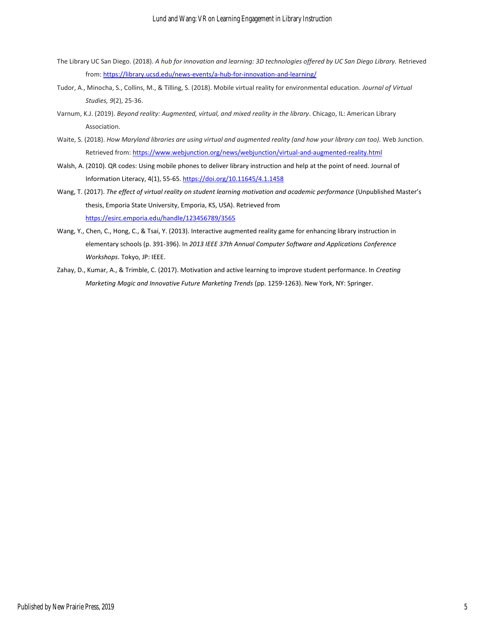- The Library UC San Diego. (2018). *A hub for innovation and learning: 3D technologies offered by UC San Diego Library.* Retrieved from[: https://library.ucsd.edu/news-events/a-hub-for-innovation-and-learning/](https://library.ucsd.edu/news-events/a-hub-for-innovation-and-learning/)
- Tudor, A., Minocha, S., Collins, M., & Tilling, S. (2018). Mobile virtual reality for environmental education. *Journal of Virtual Studies, 9*(2), 25-36.
- Varnum, K.J. (2019). *Beyond reality: Augmented, virtual, and mixed reality in the library*. Chicago, IL: American Library Association.
- Waite, S. (2018). *How Maryland libraries are using virtual and augmented reality (and how your library can too).* Web Junction. Retrieved from[: https://www.webjunction.org/news/webjunction/virtual-and-augmented-reality.html](https://www.webjunction.org/news/webjunction/virtual-and-augmented-reality.html)
- Walsh, A. (2010). QR codes: Using mobile phones to deliver library instruction and help at the point of need. Journal of Information Literacy, 4(1), 55-65[. https://doi.org/10.11645/4.1.1458](https://doi.org/10.11645/4.1.1458)
- Wang, T. (2017). *The effect of virtual reality on student learning motivation and academic performance* (Unpublished Master's thesis, Emporia State University, Emporia, KS, USA). Retrieved from <https://esirc.emporia.edu/handle/123456789/3565>
- Wang, Y., Chen, C., Hong, C., & Tsai, Y. (2013). Interactive augmented reality game for enhancing library instruction in elementary schools (p. 391-396). In *2013 IEEE 37th Annual Computer Software and Applications Conference Workshops*. Tokyo, JP: IEEE.
- Zahay, D., Kumar, A., & Trimble, C. (2017). Motivation and active learning to improve student performance. In *Creating Marketing Magic and Innovative Future Marketing Trends* (pp. 1259-1263). New York, NY: Springer.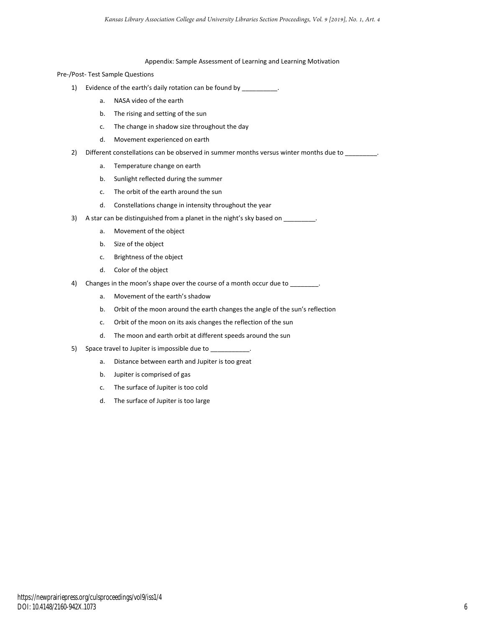#### Appendix: Sample Assessment of Learning and Learning Motivation

Pre-/Post- Test Sample Questions

- 1) Evidence of the earth's daily rotation can be found by \_\_\_\_\_\_\_\_\_\_.
	- a. NASA video of the earth
	- b. The rising and setting of the sun
	- c. The change in shadow size throughout the day
	- d. Movement experienced on earth
- 2) Different constellations can be observed in summer months versus winter months due to \_\_\_\_\_\_\_\_.
	- a. Temperature change on earth
	- b. Sunlight reflected during the summer
	- c. The orbit of the earth around the sun
	- d. Constellations change in intensity throughout the year
- 3) A star can be distinguished from a planet in the night's sky based on \_\_\_\_\_\_\_\_.
	- a. Movement of the object
	- b. Size of the object
	- c. Brightness of the object
	- d. Color of the object
- 4) Changes in the moon's shape over the course of a month occur due to \_\_\_\_\_\_\_
	- a. Movement of the earth's shadow
	- b. Orbit of the moon around the earth changes the angle of the sun's reflection
	- c. Orbit of the moon on its axis changes the reflection of the sun
	- d. The moon and earth orbit at different speeds around the sun
- 5) Space travel to Jupiter is impossible due to
	- a. Distance between earth and Jupiter is too great
	- b. Jupiter is comprised of gas
	- c. The surface of Jupiter is too cold
	- d. The surface of Jupiter is too large